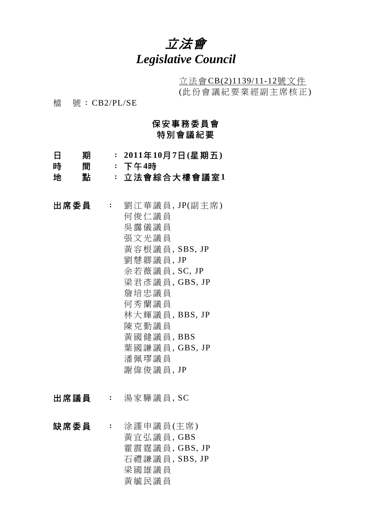# 立法會 *Legislative Council*

立法會CB(2)1139/11-12號文件 (此份會議紀要業經副主席核正)

檔 號:CB2/PL/SE

## 保安事務委員會 特別會議紀要

- 日 期 : **2011**年**10**月**7**日**(**星期五**)**
- 時 間 : 下午**4**時
- 地 點 : 立法會綜合大樓會議室**1**
- 出席委員 : 劉江華議員, JP(副主席) 何俊仁議員 吳靄儀議員 張文光議員 黃容根議員, SBS, JP 劉慧卿議員, JP 余若薇議員, SC, JP 梁君彥議員, GBS, JP 詹培忠議員 何秀蘭議員 林大輝議員, BBS, JP 陳克勤議員 黃國健議員, BBS 葉國謙議員, GBS, JP 潘佩璆議員 謝偉俊議員, JP
- 出席議員 : 湯家驊議員, SC
- 缺席委員 : 涂謹申議員(主席) 黃宜弘議員, GBS 霍震霆議員, GBS, JP 石禮謙議員, SBS, JP 梁國雄議員 黃毓民議員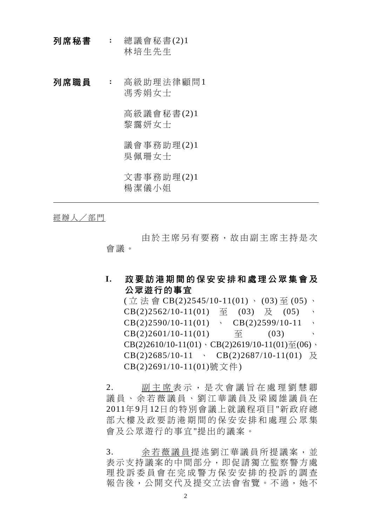- 列席秘書 : 總議會秘書 $(2)1$ 林培生先生
- 列席職員 : 高級助理法律顧問1 馮秀娟女士

高級議會秘書(2)1 黎靄妍女士

議會事務助理(2)1 吳佩珊女士

文書事務助理(2)1 楊潔儀小姐

經辦人/部門

 由於主席另有要務,故由副主席主持是次 會議。

## **I.** 政要訪港期間的保安安排和處理公眾集會及 公眾遊行的事宜

 $(\pi \nleftrightarrow \otimes \text{CB}(2)2545/10-11(01) \cdot (03) \cdot (05) \cdot$ CB(2)2562/10-11(01)  $\overline{\mathbb{E}}$  (03)  $\overline{\mathbb{E}}$  (05)  $\cdot$  $CB(2)2590/10-11(01) \rightarrow CB(2)2599/10-11 \rightarrow$ CB(2)2601/10-11(01)  $\overline{\oplus}$  (03) CB(2)2610/10-11(01)、CB(2)2619/10-11(01)至(06)、  $CB(2)2685/10-11$   $CB(2)2687/10-11(01)$   $\overline{R}$ CB(2)2691/10-11(01)號文件)

2. 副主席 表示,是次會議旨在處理劉慧卿 議員、余若薇議員、劉江華議員及梁國雄議員在 2011年9月12日的特別會議上就議程項目"新政府總 部大樓及政要訪港期間的保安安排和處理公眾集 會及公眾遊行的事宜"提出的議案。

3. 余若薇議員提述劉江華議員所提議案,並 表示支持議案的中間部分,即促請獨立監察警方處 理投訴委員會在完成警方保安安排的投訴的調查 報告後,公開交代及提交立法會省覽。不過,她不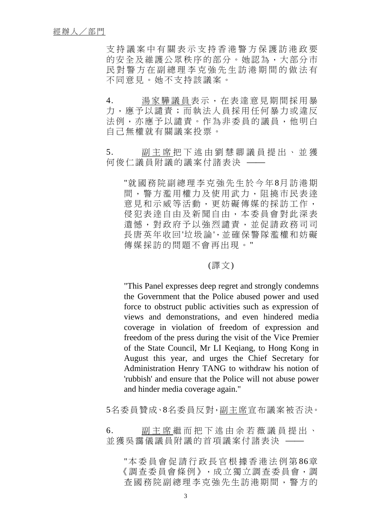支持議案中有關表示支持香港警方保護訪港政要 的安全及維護公眾秩序的部分。她認為,大部分市 民對警方在副總理李克強先生訪港期間的做法有 不同意見。她不支持該議案。

- 4. 湯家驊議員表示,在表達意見期間採用暴 力,應予以譴責;而執法人員採用任何暴力或違反 法例,亦應予以譴責。作為非委員的議員,他明白 自己無權就有關議案投票。
- 5. 副主席把下述由劉慧卿議員提出、並獲 何俊仁議員附議的議案付諸表決

"就國務院副總理李克強先生於今年8月訪港期 間,警方濫用權力及使用武力,阻撓市民表逹 意見和示威等活動,更妨礙傳媒的採訪工作, 侵犯表逹自由及新聞自由,本委員會對此深表 遺憾,對政府予以強烈譴責,並促請政務司司 長唐英年收回'垃圾論',並確保警隊濫權和妨礙 傳媒採訪的問題不會再出現。"

#### (譯文)

"This Panel expresses deep regret and strongly condemns the Government that the Police abused power and used force to obstruct public activities such as expression of views and demonstrations, and even hindered media coverage in violation of freedom of expression and freedom of the press during the visit of the Vice Premier of the State Council, Mr LI Keqiang, to Hong Kong in August this year, and urges the Chief Secretary for Administration Henry TANG to withdraw his notion of 'rubbish' and ensure that the Police will not abuse power and hinder media coverage again."

5名委員贊成、8名委員反對,副主席宣布議案被否決。

6. 副主席 繼而把下述由余若薇議員提出、 並獲吳靄儀議員附議的首項議案付諸表決 —

"本委員會促請行政長官根據香港法例第 86章 《調查委員會條例》,成立獨立調查委員會,調 查國務院副總理李克強先生訪港期間,警方的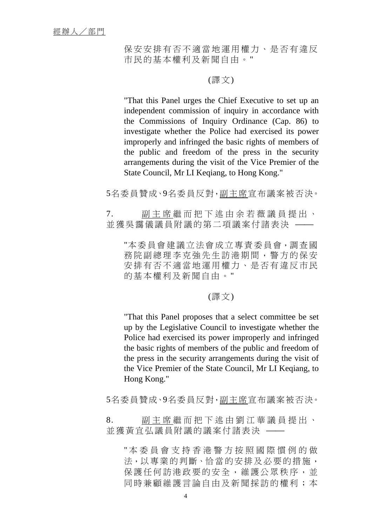保安安排有否不適當地運用權力、是否有違反 市民的基本權利及新聞自由。"

### (譯文)

"That this Panel urges the Chief Executive to set up an independent commission of inquiry in accordance with the Commissions of Inquiry Ordinance (Cap. 86) to investigate whether the Police had exercised its power improperly and infringed the basic rights of members of the public and freedom of the press in the security arrangements during the visit of the Vice Premier of the State Council, Mr LI Keqiang, to Hong Kong."

5名委員贊成、9名委員反對,副主席宣布議案被否決。

7. 副主席 繼而把下述由余若薇議員提出、 並獲吳靄儀議員附議的第二項議案付諸表決

"本委員會建議立法會成立專責委員會,調查國 務院副總理李克強先生訪港期間,警方的保安 安排有否不適當地運用權力、是否有違反市民 的基本權利及新聞自由。"

#### (譯文)

"That this Panel proposes that a select committee be set up by the Legislative Council to investigate whether the Police had exercised its power improperly and infringed the basic rights of members of the public and freedom of the press in the security arrangements during the visit of the Vice Premier of the State Council, Mr LI Keqiang, to Hong Kong."

5名委員贊成、9名委員反對,副主席宣布議案被否決。

8. 副主席 繼而把下述由劉江華議員提出、 並獲黃宜弘議員附議的議案付諸表決

" 本委員會支持香港警方按照國際慣例的做 法,以專業的判斷、恰當的安排及必要的措施, 保護任何訪港政要的安全,維護公眾秩序,並 同時兼顧維護言論自由及新聞採訪的權利;本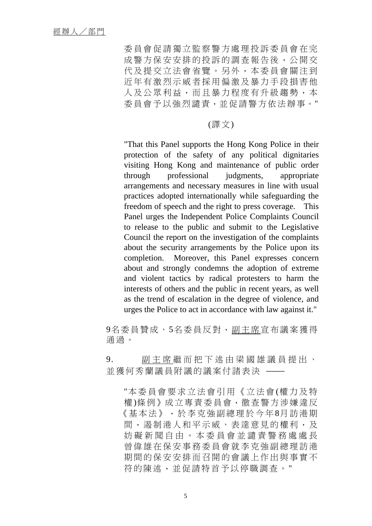委員會促請獨立監察警方處理投訴委員會在完 成警方保安安排的投訴的調查報告後,公開交 代及提交立法會省覽。另外,本委員會關注到 近年有激烈示威者採用偏激及暴力手段損害他 人及公眾利益,而且暴力程度有升級趨勢,本 委員會予以強烈譴責,並促請警方依法辦事。"

#### (譯文)

"That this Panel supports the Hong Kong Police in their protection of the safety of any political dignitaries visiting Hong Kong and maintenance of public order through professional judgments, appropriate arrangements and necessary measures in line with usual practices adopted internationally while safeguarding the freedom of speech and the right to press coverage. This Panel urges the Independent Police Complaints Council to release to the public and submit to the Legislative Council the report on the investigation of the complaints about the security arrangements by the Police upon its completion. Moreover, this Panel expresses concern about and strongly condemns the adoption of extreme and violent tactics by radical protesters to harm the interests of others and the public in recent years, as well as the trend of escalation in the degree of violence, and urges the Police to act in accordance with law against it."

9名委員贊成、5名委員反對,副主席宣布議案獲得 通過。

9. 副主席 繼而把下述由梁國雄議員提出、 並獲何秀蘭議員附議的議案付諸表決 ──

"本委員會要求立法會引用《立法會 (權力及特 權)條例》成立專責委員會,徹查警方涉嫌違反 《基本法》,於李克強副總理於今年8月訪港期 間,遏制港人和平示威、表達意見的權利,及 妨礙新聞自由。本委員會並譴責警務處處長 曾偉雄在保安事務委員會就李克強副總理訪港 期間的保安安排而召開的會議上作出與事實不 符的陳述,並促請特首予以停職調查。"

5